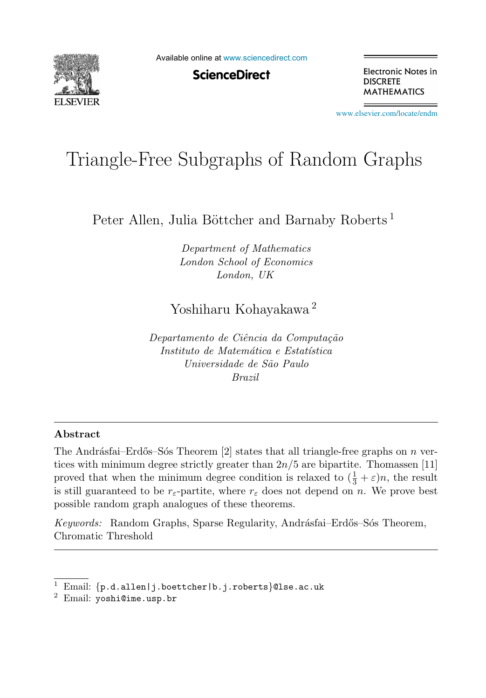

Available online at [www.sciencedirect.com](http://www.sciencedirect.com)

**ScienceDirect** 

Electronic Notes in **DISCRETE MATHEMATICS** 

[www.elsevier.com/locate/endm](http://www.elsevier.com/locate/endm)

# Triangle-Free Subgraphs of Random Graphs

Peter Allen, Julia Böttcher and Barnaby Roberts<sup>1</sup>

Department of Mathematics London School of Economics London, UK

Yoshiharu Kohayakawa <sup>2</sup>

Departamento de Ciência da Computação Instituto de Matemática e Estatística Universidade de São Paulo Brazil

#### **Abstract**

The Andrásfai–Erdős–Sós Theorem  $[2]$  states that all triangle-free graphs on n vertices with minimum degree strictly greater than  $2n/5$  are bipartite. Thomassen [11] proved that when the minimum degree condition is relaxed to  $(\frac{1}{3} + \varepsilon)n$ , the result<br>is still guaranteed to be r-partite, where r, does not depend on n. We prove best is still guaranteed to be  $r_{\varepsilon}$ -partite, where  $r_{\varepsilon}$  does not depend on n. We prove best possible random graph analogues of these theorems.

Keywords: Random Graphs, Sparse Regularity, Andrásfai–Erdős–Sós Theorem, Chromatic Threshold

Email: {p.d.allen|j.boettcher|b.j.roberts}@lse.ac.uk

 $2$  Email: yoshi@ime.usp.br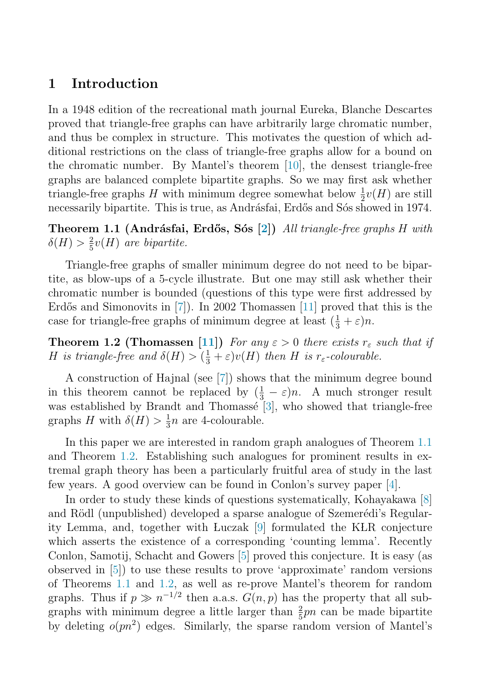## <span id="page-1-0"></span>**1 Introduction**

In a 1948 edition of the recreational math journal Eureka, Blanche Descartes proved that triangle-free graphs can have arbitrarily large chromatic number, and thus be complex in structure. This motivates the question of which additional restrictions on the class of triangle-free graphs allow for a bound on the chromatic number. By Mantel's theorem [\[10\]](#page-4-0), the densest triangle-free graphs are balanced complete bipartite graphs. So we may first ask whether triangle-free graphs H with minimum degree somewhat below  $\frac{1}{2}v(H)$  are still<br>necessarily binartite. This is true, as Andrásfai, Erdős and Sós showed in 1974 necessarily bipartite. This is true, as Andrásfai, Erdős and Sós showed in 1974.

**Theorem 1.1 (Andr´asfai, Erd˝os, S´os [\[2\]](#page-4-0))** All triangle-free graphs H with  $\delta(H) > \frac{2}{5}v(H)$  are bipartite.

Triangle-free graphs of smaller minimum degree do not need to be bipartite, as blow-ups of a 5-cycle illustrate. But one may still ask whether their chromatic number is bounded (questions of this type were first addressed by Erdős and Simonovits in  $[7]$ ). In 2002 Thomassen  $[11]$  proved that this is the case for triangle-free graphs of minimum degree at least  $(\frac{1}{3} + \varepsilon)n$ .

**Theorem 1.2 (Thomassen [\[11\]](#page-4-0))** For any  $\varepsilon > 0$  there exists  $r_{\varepsilon}$  such that if H is triangle-free and  $\delta(H) > (\frac{1}{3} + \varepsilon)v(H)$  then H is r<sub> $\varepsilon$ </sub>-colourable.

A construction of Hajnal (see [\[7\]](#page-4-0)) shows that the minimum degree bound in this theorem cannot be replaced by  $(\frac{1}{3} - \varepsilon)n$ . A much stronger result<br>was established by Brandt and Thomassé [3] who showed that triangle-free was established by Brandt and Thomassé  $[3]$ , who showed that triangle-free graphs H with  $\delta(H) > \frac{1}{3}n$  are 4-colourable.

In this paper we are interested in random graph analogues of Theorem 1.1 and Theorem 1.2. Establishing such analogues for prominent results in extremal graph theory has been a particularly fruitful area of study in the last few years. A good overview can be found in Conlon's survey paper [\[4\]](#page-4-0).

In order to study these kinds of questions systematically, Kohayakawa [\[8\]](#page-4-0) and Rödl (unpublished) developed a sparse analogue of Szemerédi's Regular-ity Lemma, and, together with Luczak [\[9\]](#page-4-0) formulated the KLR conjecture which asserts the existence of a corresponding 'counting lemma'. Recently Conlon, Samotij, Schacht and Gowers [\[5\]](#page-4-0) proved this conjecture. It is easy (as observed in [\[5\]](#page-4-0)) to use these results to prove 'approximate' random versions of Theorems 1.1 and 1.2, as well as re-prove Mantel's theorem for random graphs. Thus if  $p \gg n^{-1/2}$  then a.a.s.  $G(n, p)$  has the property that all subgraphs with minimum degree a little larger than  $\frac{2}{5}pn$  can be made bipartite<br>by deleting  $\rho(m^2)$  edges. Similarly, the sparse random version of Mantel's by deleting  $o(pn^2)$  edges. Similarly, the sparse random version of Mantel's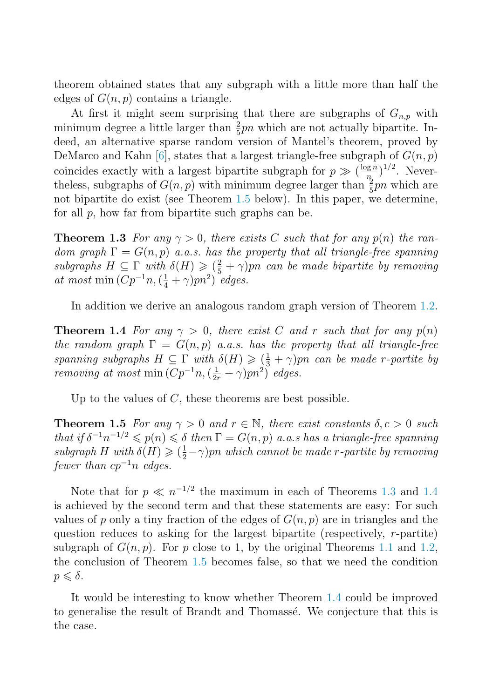<span id="page-2-0"></span>theorem obtained states that any subgraph with a little more than half the edges of  $G(n, p)$  contains a triangle.

At first it might seem surprising that there are subgraphs of  $G_{n,p}$  with minimum degree a little larger than  $\frac{2}{5}pn$  which are not actually bipartite. In-<br>deed an alternative sparse random version of Mantel's theorem, proved by deed, an alternative sparse random version of Mantel's theorem, proved by DeMarco and Kahn [\[6\]](#page-4-0), states that a largest triangle-free subgraph of  $G(n, p)$ coincides exactly with a largest bipartite subgraph for  $p \gg (\frac{\log n}{n})^{1/2}$ . Nevertheless, subgraphs of  $G(n, p)$  with minimum degree larger than  $\frac{2}{5}pn$  which are<br>not binartite do exist (see Theorem 1.5 below). In this paper, we determine not bipartite do exist (see Theorem 1.5 below). In this paper, we determine, for all  $p$ , how far from bipartite such graphs can be.

**Theorem 1.3** For any  $\gamma > 0$ , there exists C such that for any  $p(n)$  the random graph  $\Gamma = G(n, p)$  a.a.s. has the property that all triangle-free spanning subgraphs  $H \subseteq \Gamma$  with  $\delta(H) \geqslant (\frac{2}{5} + \gamma)pn$  can be made bipartite by removing at most min  $(Cn^{-1}n \ (1+\gamma)nn^2)$  edges at most min  $(Cp^{-1}n, (\frac{1}{4} + \gamma)pn^2)$  edges.

In addition we derive an analogous random graph version of Theorem [1.2.](#page-1-0)

**Theorem 1.4** For any  $\gamma > 0$ , there exist C and r such that for any  $p(n)$ the random graph  $\Gamma = G(n, p)$  a.a.s. has the property that all triangle-free spanning subgraphs  $H \subseteq \Gamma$  with  $\delta(H) \geqslant (\frac{1}{3} + \gamma)pn$  can be made r-partite by<br>removing at most min  $(Cn^{-1}n, (\frac{1}{3} + \gamma)pn^2)$  edges removing at most min  $(Cp^{-1}n, (\frac{1}{2r} + \gamma)pn^2)$  edges.

Up to the values of  $C$ , these theorems are best possible.

**Theorem 1.5** For any  $\gamma > 0$  and  $r \in \mathbb{N}$ , there exist constants  $\delta, c > 0$  such that if  $\delta^{-1}n^{-1/2} \leqslant p(n) \leqslant \delta$  then  $\Gamma = G(n, p)$  a.a.s has a triangle-free spanning subgraph H with  $\delta(H) \geqslant (\frac{1}{2} - \gamma)pn$  which cannot be made r-partite by removing<br>fewer than  $cn^{-1}n$  edges fewer than  $cp^{-1}n$  edges.

Note that for  $p \ll n^{-1/2}$  the maximum in each of Theorems 1.3 and 1.4 is achieved by the second term and that these statements are easy: For such values of p only a tiny fraction of the edges of  $G(n, p)$  are in triangles and the question reduces to asking for the largest bipartite (respectively, r-partite) subgraph of  $G(n, p)$ . For p close to 1, by the original Theorems [1.1](#page-1-0) and [1.2,](#page-1-0) the conclusion of Theorem 1.5 becomes false, so that we need the condition  $p \leqslant \delta$ .

It would be interesting to know whether Theorem 1.4 could be improved to generalise the result of Brandt and Thomassé. We conjecture that this is the case.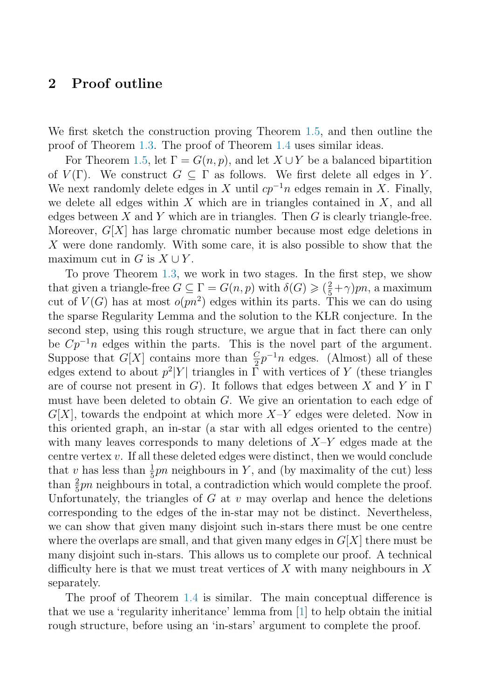### **2 Proof outline**

We first sketch the construction proving Theorem [1.5,](#page-2-0) and then outline the proof of Theorem [1.3.](#page-2-0) The proof of Theorem [1.4](#page-2-0) uses similar ideas.

For Theorem [1.5,](#page-2-0) let  $\Gamma = G(n, p)$ , and let  $X \cup Y$  be a balanced bipartition of  $V(\Gamma)$ . We construct  $G \subseteq \Gamma$  as follows. We first delete all edges in Y. We next randomly delete edges in X until  $cp^{-1}n$  edges remain in X. Finally, we delete all edges within X which are in triangles contained in  $X$ , and all edges between  $X$  and  $Y$  which are in triangles. Then  $G$  is clearly triangle-free. Moreover,  $G[X]$  has large chromatic number because most edge deletions in X were done randomly. With some care, it is also possible to show that the maximum cut in G is  $X \cup Y$ .

To prove Theorem [1.3,](#page-2-0) we work in two stages. In the first step, we show that given a triangle-free  $G \subseteq \Gamma = G(n, p)$  with  $\delta(G) \geq (\frac{2}{5} + \gamma)pn$ , a maximum<br>cut of  $V(G)$  has at most  $g(m^2)$  edges within its parts. This we can do using cut of  $V(G)$  has at most  $o(pn^2)$  edges within its parts. This we can do using the sparse Regularity Lemma and the solution to the KLR conjecture. In the second step, using this rough structure, we argue that in fact there can only be  $Cp^{-1}n$  edges within the parts. This is the novel part of the argument. Suppose that  $G[X]$  contains more than  $\frac{C}{2}p^{-1}n$  edges. (Almost) all of these edges extend to about  $n^2|Y|$  triangles in  $\Gamma$  with vertices of Y (these triangles edges extend to about  $p^2|Y|$  triangles in  $\overline{\Gamma}$  with vertices of Y (these triangles are of course not present in G). It follows that edges between X and Y in  $\Gamma$ must have been deleted to obtain G. We give an orientation to each edge of  $G[X]$ , towards the endpoint at which more  $X-Y$  edges were deleted. Now in this oriented graph, an in-star (a star with all edges oriented to the centre) with many leaves corresponds to many deletions of  $X-Y$  edges made at the centre vertex v. If all these deleted edges were distinct, then we would conclude that v has less than  $\frac{1}{5}pn$  neighbours in Y, and (by maximality of the cut) less<br>than  $\frac{2}{5}pn$  neighbours in total a contradiction which would complete the proof than  $\frac{2}{5}pn$  neighbours in total, a contradiction which would complete the proof.<br>Unfortunately the triangles of G at *y* may overlap and hence the deletions Unfortunately, the triangles of  $G$  at  $v$  may overlap and hence the deletions corresponding to the edges of the in-star may not be distinct. Nevertheless, we can show that given many disjoint such in-stars there must be one centre where the overlaps are small, and that given many edges in  $G[X]$  there must be many disjoint such in-stars. This allows us to complete our proof. A technical difficulty here is that we must treat vertices of X with many neighbours in X separately.

The proof of Theorem [1.4](#page-2-0) is similar. The main conceptual difference is that we use a 'regularity inheritance' lemma from [\[1\]](#page-4-0) to help obtain the initial rough structure, before using an 'in-stars' argument to complete the proof.